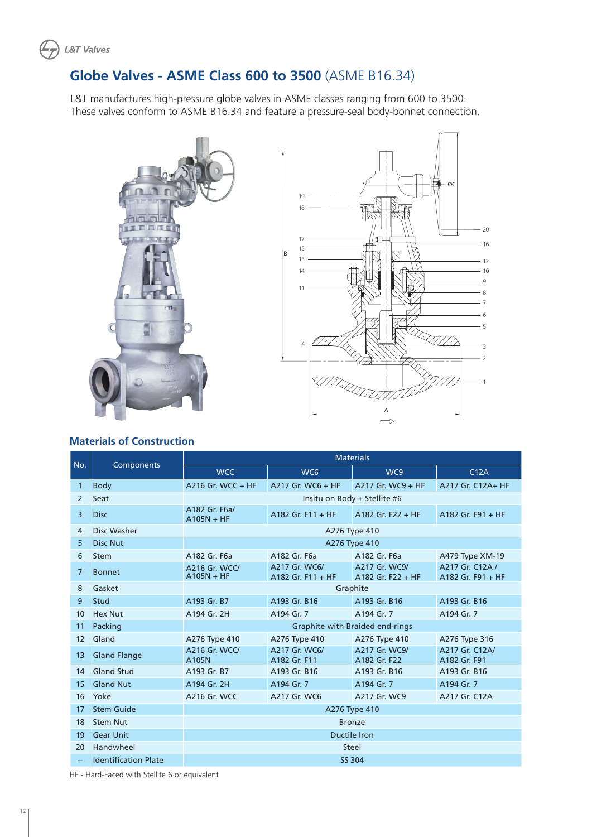

# **Globe Valves - ASME Class 600 to 3500** (ASME B16.34)

L&T manufactures high-pressure globe valves in ASME classes ranging from 600 to 3500. These valves conform to ASME B16.34 and feature a pressure-seal body-bonnet connection.





#### **Materials of Construction**

| No.            |                             | <b>Materials</b>                     |                                    |                                    |                                      |  |  |  |  |  |  |  |  |
|----------------|-----------------------------|--------------------------------------|------------------------------------|------------------------------------|--------------------------------------|--|--|--|--|--|--|--|--|
|                | Components                  | <b>WCC</b>                           | WC <sub>6</sub>                    | WC9                                | C12A                                 |  |  |  |  |  |  |  |  |
| 1              | <b>Body</b>                 | A216 Gr. WCC + HF                    | A217 Gr. WC6 + HF                  | A217 Gr. WC9 + HF                  | A217 Gr. C12A+ HF                    |  |  |  |  |  |  |  |  |
| 2              | Seat                        |                                      | Insitu on Body + Stellite #6       |                                    |                                      |  |  |  |  |  |  |  |  |
| 3              | <b>Disc</b>                 | A182 Gr. F6a/<br>$A105N + HF$        | A182 Gr. $F11 + HF$                | A182 Gr. $F22 + HF$                | A182 Gr. $F91 + HF$                  |  |  |  |  |  |  |  |  |
| $\overline{4}$ | Disc Washer                 |                                      |                                    | A276 Type 410                      |                                      |  |  |  |  |  |  |  |  |
| 5              | <b>Disc Nut</b>             | A276 Type 410                        |                                    |                                    |                                      |  |  |  |  |  |  |  |  |
| 6              | <b>Stem</b>                 | A182 Gr. F6a                         | A182 Gr. F6a                       | A182 Gr. F6a                       | A479 Type XM-19                      |  |  |  |  |  |  |  |  |
| $\overline{7}$ | <b>Bonnet</b>               | <b>A216 Gr. WCC/</b><br>$A105N + HF$ | A217 Gr. WC6/<br>A182 Gr. F11 + HF | A217 Gr. WC9/<br>A182 Gr. F22 + HF | A217 Gr. C12A /<br>A182 Gr. F91 + HF |  |  |  |  |  |  |  |  |
| 8              | Gasket                      |                                      |                                    | Graphite                           |                                      |  |  |  |  |  |  |  |  |
| 9              | Stud                        | A193 Gr. B7                          | A193 Gr. B16                       | A193 Gr. B16                       | A193 Gr. B16                         |  |  |  |  |  |  |  |  |
| 10             | <b>Hex Nut</b>              | A194 Gr. 2H                          | A194 Gr. 7                         | A194 Gr. 7                         | A194 Gr. 7                           |  |  |  |  |  |  |  |  |
| 11             | Packing                     |                                      |                                    | Graphite with Braided end-rings    |                                      |  |  |  |  |  |  |  |  |
| 12             | Gland                       | A276 Type 410                        | A276 Type 410                      | A276 Type 410                      | A276 Type 316                        |  |  |  |  |  |  |  |  |
| 13             | <b>Gland Flange</b>         | A216 Gr. WCC/<br>A105N               | A217 Gr. WC6/<br>A182 Gr. F11      | A217 Gr. WC9/<br>A182 Gr. F22      | A217 Gr. C12A/<br>A182 Gr. F91       |  |  |  |  |  |  |  |  |
| 14             | <b>Gland Stud</b>           | A193 Gr. B7                          | A193 Gr. B16                       | A193 Gr. B16                       | A193 Gr. B16                         |  |  |  |  |  |  |  |  |
| 15             | <b>Gland Nut</b>            | A194 Gr. 2H                          | A194 Gr. 7                         | A194 Gr. 7                         | A194 Gr. 7                           |  |  |  |  |  |  |  |  |
| 16             | Yoke                        | A216 Gr. WCC                         | A217 Gr. WC6                       | A217 Gr. WC9                       | A217 Gr. C12A                        |  |  |  |  |  |  |  |  |
| 17             | <b>Stem Guide</b>           | A276 Type 410                        |                                    |                                    |                                      |  |  |  |  |  |  |  |  |
| 18             | <b>Stem Nut</b>             | <b>Bronze</b>                        |                                    |                                    |                                      |  |  |  |  |  |  |  |  |
| 19             | <b>Gear Unit</b>            |                                      |                                    | <b>Ductile Iron</b>                |                                      |  |  |  |  |  |  |  |  |
| 20             | Handwheel                   |                                      |                                    | Steel                              |                                      |  |  |  |  |  |  |  |  |
|                | <b>Identification Plate</b> |                                      |                                    | SS 304                             |                                      |  |  |  |  |  |  |  |  |

HF - Hard-Faced with Stellite 6 or equivalent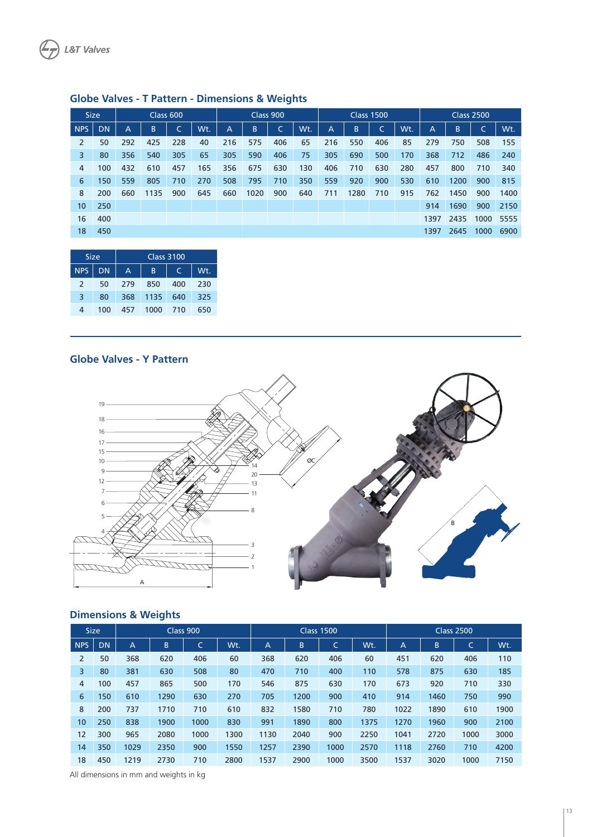| <b>Size</b> |           | Class 600 |      |     | Class 900 |                |      |     | <b>Class 1500</b> |     |      |     | <b>Class 2500</b> |              |      |      |      |
|-------------|-----------|-----------|------|-----|-----------|----------------|------|-----|-------------------|-----|------|-----|-------------------|--------------|------|------|------|
| <b>NPS</b>  | <b>DN</b> | А         | B    | Ċ   | Wt.       | $\overline{A}$ | B    |     | Wt.               | A   | B    | ∽   | Wt.               | $\mathsf{A}$ | В    | C    | Wt.  |
| 2           | 50        | 292       | 425  | 228 | 40        | 216            | 575  | 406 | 65                | 216 | 550  | 406 | 85                | 279          | 750  | 508  | 155  |
| 3           | 80        | 356       | 540  | 305 | 65        | 305            | 590  | 406 | 75                | 305 | 690  | 500 | 170               | 368          | 712  | 486  | 240  |
| 4           | 100       | 432       | 610  | 457 | 165       | 356            | 675  | 630 | 130               | 406 | 710  | 630 | 280               | 457          | 800  | 710  | 340  |
| 6           | 150       | 559       | 805  | 710 | 270       | 508            | 795  | 710 | 350               | 559 | 920  | 900 | 530               | 610          | 1200 | 900  | 815  |
| 8           | 200       | 660       | 1135 | 900 | 645       | 660            | 1020 | 900 | 640               | 711 | 1280 | 710 | 915               | 762          | 1450 | 900  | 1400 |
| 10          | 250       |           |      |     |           |                |      |     |                   |     |      |     |                   | 914          | 1690 | 900  | 2150 |
| 16          | 400       |           |      |     |           |                |      |     |                   |     |      |     |                   | 1397         | 2435 | 1000 | 5555 |
| 18          | 450       |           |      |     |           |                |      |     |                   |     |      |     |                   | 1397         | 2645 | 1000 | 6900 |

### **Globe Valves - T Pattern - Dimensions & Weights**

| <b>Size</b>   |           | <b>Class 3100</b> |      |     |     |  |  |  |  |  |  |
|---------------|-----------|-------------------|------|-----|-----|--|--|--|--|--|--|
| <b>NPS</b>    | <b>DN</b> | А                 | B    |     | Wt. |  |  |  |  |  |  |
| $\mathcal{L}$ | 50        | 279               | 850  | 400 | 230 |  |  |  |  |  |  |
| 3             | 80        | 368               | 1135 | 640 | 325 |  |  |  |  |  |  |
| 4             | 100       | 457               | 1000 | 710 | 650 |  |  |  |  |  |  |

#### **Globe Valves - Y Pattern**



#### **Dimensions & Weights**

| <b>Size</b><br>Class 900 |           |                |      |        |      | <b>Class 1500</b> |      | <b>Class 2500</b> |      |      |      |        |      |
|--------------------------|-----------|----------------|------|--------|------|-------------------|------|-------------------|------|------|------|--------|------|
| <b>NPS</b>               | <b>DN</b> | $\overline{A}$ | B    | ╭<br>◡ | Wt.  | $\overline{A}$    | B    | ╭<br>◡            | Wt.  | A    | B    | ÷<br>└ | Wt.  |
| 2                        | 50        | 368            | 620  | 406    | 60   | 368               | 620  | 406               | 60   | 451  | 620  | 406    | 110  |
| 3                        | 80        | 381            | 630  | 508    | 80   | 470               | 710  | 400               | 110  | 578  | 875  | 630    | 185  |
| $\overline{4}$           | 100       | 457            | 865  | 500    | 170  | 546               | 875  | 630               | 170  | 673  | 920  | 710    | 330  |
| 6                        | 150       | 610            | 1290 | 630    | 270  | 705               | 1200 | 900               | 410  | 914  | 1460 | 750    | 990  |
| 8                        | 200       | 737            | 1710 | 710    | 610  | 832               | 1580 | 710               | 780  | 1022 | 1890 | 610    | 1900 |
| 10                       | 250       | 838            | 1900 | 1000   | 830  | 991               | 1890 | 800               | 1375 | 1270 | 1960 | 900    | 2100 |
| 12                       | 300       | 965            | 2080 | 1000   | 1300 | 1130              | 2040 | 900               | 2250 | 1041 | 2720 | 1000   | 3000 |
| 14                       | 350       | 1029           | 2350 | 900    | 1550 | 1257              | 2390 | 1000              | 2570 | 1118 | 2760 | 710    | 4200 |
| 18                       | 450       | 1219           | 2730 | 710    | 2800 | 1537              | 2900 | 1000              | 3500 | 1537 | 3020 | 1000   | 7150 |

All dimensions in mm and weights in kg